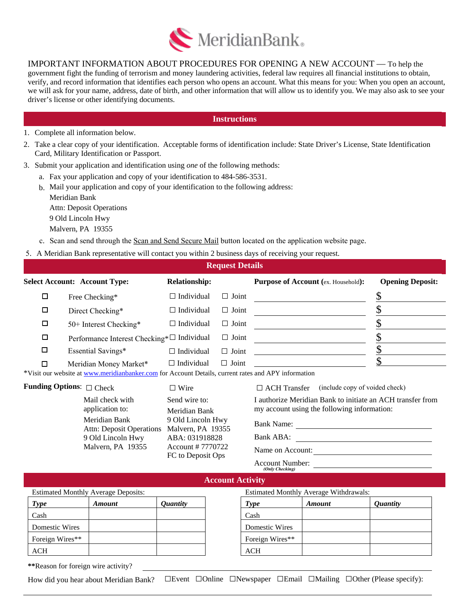

IMPORTANT INFORMATION ABOUT PROCEDURES FOR OPENING A NEW ACCOUNT — To help the government fight the funding of terrorism and money laundering activities, federal law requires all financial institutions to obtain, verify, and record information that identifies each person who opens an account. What this means for you: When you open an account, we will ask for your name, address, date of birth, and other information that will allow us to identify you. We may also ask to see your driver's license or other identifying documents.

## **Instructions**

- 1. Complete all information below.
- 2. Take a clear copy of your identification. Acceptable forms of identification include: State Driver's License, State Identification Card, Military Identification or Passport.
- 3. Submit your application and identification using *one* of the following methods:
	- a. Fax your application and copy of your identification to 484-586-3531.
	- b. Mail your application and copy of your identification to the following address: Meridian Bank Attn: Deposit Operations 9 Old Lincoln Hwy
		- Malvern, PA 19355
	- c. Scan and send through the Scan and Send Secure Mail button located on the application website page.
- 5. A Meridian Bank representative will contact you within 2 business days of receiving your request.

|        |                                            |                      | <b>Request Details</b> |                                            |                         |
|--------|--------------------------------------------|----------------------|------------------------|--------------------------------------------|-------------------------|
|        | <b>Select Account: Account Type:</b>       | <b>Relationship:</b> |                        | <b>Purpose of Account (ex. Household):</b> | <b>Opening Deposit:</b> |
|        | Free Checking*                             | $\Box$ Individual    | Joint<br>$\Box$        |                                            |                         |
| □      | Direct Checking*                           | $\Box$ Individual    | $\Box$ Joint           |                                            |                         |
| □      | 50+ Interest Checking*                     | $\Box$ Individual    | Joint<br>П             |                                            |                         |
| □      | Performance Interest Checking*□ Individual |                      | Joint<br>$\Box$        |                                            |                         |
| □      | Essential Savings*                         | $\Box$ Individual    | $\Box$ Joint           |                                            |                         |
| $\Box$ | Meridian Money Market*                     | $\Box$ Individual    | $\Box$ Joint           |                                            |                         |

\*Visit our website at www.meridianbanker.com for Account Details, current rates and APY information

□ Wire

## **Funding Options**: □ Check

| Mail check with                 | Send wire to:     |
|---------------------------------|-------------------|
| application to:                 | Meridian Bank     |
| Meridian Bank                   | 9 Old Lincoln Hwy |
| <b>Attn: Deposit Operations</b> | Malvern, PA 19355 |
| 9 Old Lincoln Hwy               | ABA: 031918828    |
| Malvern, PA 19355               | Account # 7770722 |
|                                 | FC to Deposit Ops |

□ ACH Transfer (include copy of voided check)

I authorize Meridian Bank to initiate an ACH transfer from my account using the following information:

Bank Name:

Bank ABA:

Name on Account:

Account Number: *(Only Checking)*

|                                            |               |                        | <b>Account Activity</b> |                                               |               |                        |
|--------------------------------------------|---------------|------------------------|-------------------------|-----------------------------------------------|---------------|------------------------|
| <b>Estimated Monthly Average Deposits:</b> |               |                        |                         | <b>Estimated Monthly Average Withdrawals:</b> |               |                        |
| <b>Type</b>                                | <b>Amount</b> | <i><b>Quantity</b></i> |                         | <b>Type</b>                                   | <b>Amount</b> | <i><b>Quantity</b></i> |
| Cash                                       |               |                        |                         | Cash                                          |               |                        |
| <b>Domestic Wires</b>                      |               |                        |                         | Domestic Wires                                |               |                        |
| Foreign Wires**                            |               |                        |                         | Foreign Wires**                               |               |                        |
| <b>ACH</b>                                 |               |                        |                         | <b>ACH</b>                                    |               |                        |
|                                            |               |                        |                         |                                               |               |                        |

19355

**\*\***Reason for foreign wire activity?

How did you hear about Meridian Bank? □Event □Online □Newspaper □Email □Mailing □Other (Please specify):